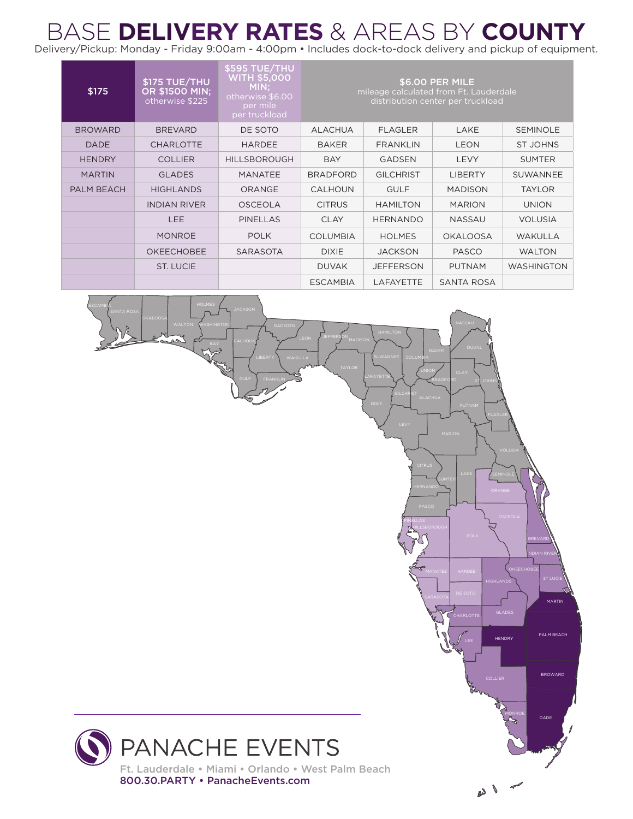## BASE **DELIVERY RATES** & AREAS BY **COUNTY** BASE **DELIVERY RATES** & AREAS BY **COUNTY**

Delivery/Pickup: Monday - Friday 9:00am - 4:00pm • Includes dock-to-dock delivery and pickup of equipment. Delivery/Pickup: Monday - Friday 9:00am - 4:00pm • Includes dock-to-dock delivery and pickup of equipment.

| \$175          | \$175 TUE/THU<br><b>OR \$1500 MIN:</b><br>otherwise \$225 | <b>\$595 TUE/THU</b><br><b>WITH \$5,000</b><br>MIN:<br>otherwise \$6.00<br>per mile<br>per truckload | \$6.00 PER MILE<br>mileage calculated from Ft. Lauderdale<br>distribution center per truckload |                  |                   |                   |
|----------------|-----------------------------------------------------------|------------------------------------------------------------------------------------------------------|------------------------------------------------------------------------------------------------|------------------|-------------------|-------------------|
| <b>BROWARD</b> | <b>BREVARD</b>                                            | DE SOTO                                                                                              | <b>ALACHUA</b>                                                                                 | <b>FLAGLER</b>   | LAKE              | <b>SEMINOLE</b>   |
| <b>DADE</b>    | <b>CHARLOTTE</b>                                          | <b>HARDEE</b>                                                                                        | <b>BAKER</b>                                                                                   | <b>FRANKLIN</b>  | <b>LEON</b>       | <b>ST JOHNS</b>   |
| <b>HENDRY</b>  | <b>COLLIER</b>                                            | <b>HILLSBOROUGH</b>                                                                                  | <b>BAY</b>                                                                                     | <b>GADSEN</b>    | <b>LEVY</b>       | <b>SUMTER</b>     |
| <b>MARTIN</b>  | <b>GLADES</b>                                             | <b>MANATEE</b>                                                                                       | <b>BRADFORD</b>                                                                                | <b>GILCHRIST</b> | <b>LIBERTY</b>    | <b>SUWANNEE</b>   |
| PALM BEACH     | <b>HIGHLANDS</b>                                          | <b>ORANGE</b>                                                                                        | <b>CALHOUN</b>                                                                                 | <b>GULF</b>      | <b>MADISON</b>    | <b>TAYLOR</b>     |
|                | <b>INDIAN RIVER</b>                                       | <b>OSCEOLA</b>                                                                                       | <b>CITRUS</b>                                                                                  | <b>HAMILTON</b>  | <b>MARION</b>     | <b>UNION</b>      |
|                | <b>LEE</b>                                                | <b>PINELLAS</b>                                                                                      | <b>CLAY</b>                                                                                    | <b>HERNANDO</b>  | <b>NASSAU</b>     | <b>VOLUSIA</b>    |
|                | <b>MONROE</b>                                             | <b>POLK</b>                                                                                          | <b>COLUMBIA</b>                                                                                | <b>HOLMES</b>    | <b>OKALOOSA</b>   | <b>WAKULLA</b>    |
|                | <b>OKEECHOBEE</b>                                         | <b>SARASOTA</b>                                                                                      | <b>DIXIE</b>                                                                                   | <b>JACKSON</b>   | <b>PASCO</b>      | <b>WALTON</b>     |
|                | ST. LUCIE                                                 |                                                                                                      | <b>DUVAK</b>                                                                                   | <b>JEFFERSON</b> | <b>PUTNAM</b>     | <b>WASHINGTON</b> |
|                |                                                           |                                                                                                      | <b>ESCAMBIA</b>                                                                                | <b>LAFAYETTE</b> | <b>SANTA ROSA</b> |                   |

**JEFFERSON** 

ALACHUA

HILLSBOROUGH

PINELLAS

COLUMBIA

**GILCHRIST** 

TAYLOR JUNION

BRADFORD

ST. JOHNS

**CHARLOTTE** 

MANATEE HARDEE

GLADES

HIGHLANDS

HENDRY

MONROE

BROWARD

PALM BEACH

MARTIN

ST LUCIE

INDIAN RIVER

DADE

PANACHE EVENTS Ft. Lauderdale • Miami • Orlando • West Palm Beach 800.30.PARTY • PanacheEvents.com

ESCAMBIA

OKALOOSA

WALTON WASHINGTON